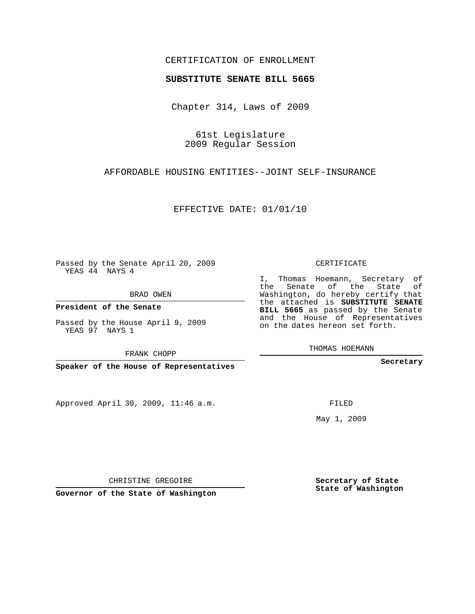### CERTIFICATION OF ENROLLMENT

#### **SUBSTITUTE SENATE BILL 5665**

Chapter 314, Laws of 2009

61st Legislature 2009 Regular Session

AFFORDABLE HOUSING ENTITIES--JOINT SELF-INSURANCE

EFFECTIVE DATE: 01/01/10

Passed by the Senate April 20, 2009 YEAS 44 NAYS 4

BRAD OWEN

**President of the Senate**

Passed by the House April 9, 2009 YEAS 97 NAYS 1

FRANK CHOPP

**Speaker of the House of Representatives**

Approved April 30, 2009, 11:46 a.m.

#### CERTIFICATE

I, Thomas Hoemann, Secretary of the Senate of the State of Washington, do hereby certify that the attached is **SUBSTITUTE SENATE BILL 5665** as passed by the Senate and the House of Representatives on the dates hereon set forth.

THOMAS HOEMANN

**Secretary**

FILED

May 1, 2009

**Secretary of State State of Washington**

CHRISTINE GREGOIRE

**Governor of the State of Washington**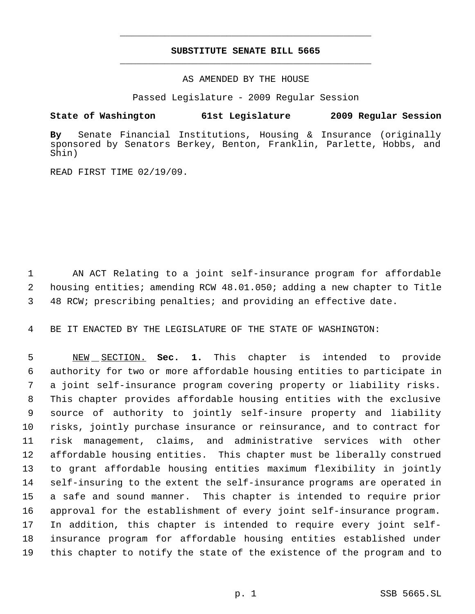# **SUBSTITUTE SENATE BILL 5665** \_\_\_\_\_\_\_\_\_\_\_\_\_\_\_\_\_\_\_\_\_\_\_\_\_\_\_\_\_\_\_\_\_\_\_\_\_\_\_\_\_\_\_\_\_

\_\_\_\_\_\_\_\_\_\_\_\_\_\_\_\_\_\_\_\_\_\_\_\_\_\_\_\_\_\_\_\_\_\_\_\_\_\_\_\_\_\_\_\_\_

AS AMENDED BY THE HOUSE

Passed Legislature - 2009 Regular Session

## **State of Washington 61st Legislature 2009 Regular Session**

**By** Senate Financial Institutions, Housing & Insurance (originally sponsored by Senators Berkey, Benton, Franklin, Parlette, Hobbs, and Shin)

READ FIRST TIME 02/19/09.

 AN ACT Relating to a joint self-insurance program for affordable housing entities; amending RCW 48.01.050; adding a new chapter to Title 48 RCW; prescribing penalties; and providing an effective date.

BE IT ENACTED BY THE LEGISLATURE OF THE STATE OF WASHINGTON:

 NEW SECTION. **Sec. 1.** This chapter is intended to provide authority for two or more affordable housing entities to participate in a joint self-insurance program covering property or liability risks. This chapter provides affordable housing entities with the exclusive source of authority to jointly self-insure property and liability risks, jointly purchase insurance or reinsurance, and to contract for risk management, claims, and administrative services with other affordable housing entities. This chapter must be liberally construed to grant affordable housing entities maximum flexibility in jointly self-insuring to the extent the self-insurance programs are operated in a safe and sound manner. This chapter is intended to require prior approval for the establishment of every joint self-insurance program. In addition, this chapter is intended to require every joint self- insurance program for affordable housing entities established under this chapter to notify the state of the existence of the program and to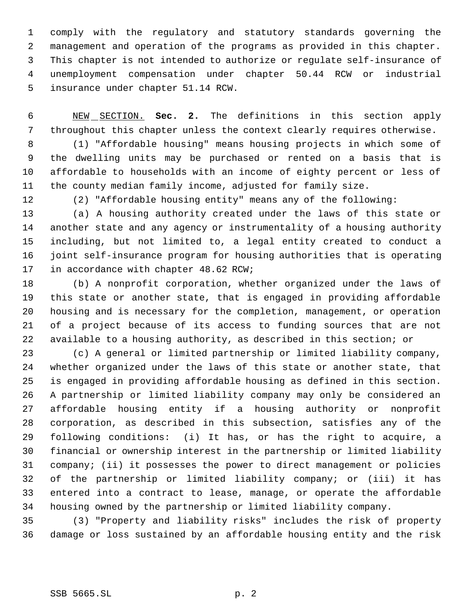comply with the regulatory and statutory standards governing the management and operation of the programs as provided in this chapter. This chapter is not intended to authorize or regulate self-insurance of unemployment compensation under chapter 50.44 RCW or industrial insurance under chapter 51.14 RCW.

 NEW SECTION. **Sec. 2.** The definitions in this section apply throughout this chapter unless the context clearly requires otherwise.

 (1) "Affordable housing" means housing projects in which some of the dwelling units may be purchased or rented on a basis that is affordable to households with an income of eighty percent or less of the county median family income, adjusted for family size.

(2) "Affordable housing entity" means any of the following:

 (a) A housing authority created under the laws of this state or another state and any agency or instrumentality of a housing authority including, but not limited to, a legal entity created to conduct a joint self-insurance program for housing authorities that is operating 17 in accordance with chapter 48.62 RCW;

 (b) A nonprofit corporation, whether organized under the laws of this state or another state, that is engaged in providing affordable housing and is necessary for the completion, management, or operation of a project because of its access to funding sources that are not available to a housing authority, as described in this section; or

 (c) A general or limited partnership or limited liability company, whether organized under the laws of this state or another state, that is engaged in providing affordable housing as defined in this section. A partnership or limited liability company may only be considered an affordable housing entity if a housing authority or nonprofit corporation, as described in this subsection, satisfies any of the following conditions: (i) It has, or has the right to acquire, a financial or ownership interest in the partnership or limited liability company; (ii) it possesses the power to direct management or policies of the partnership or limited liability company; or (iii) it has entered into a contract to lease, manage, or operate the affordable housing owned by the partnership or limited liability company.

 (3) "Property and liability risks" includes the risk of property damage or loss sustained by an affordable housing entity and the risk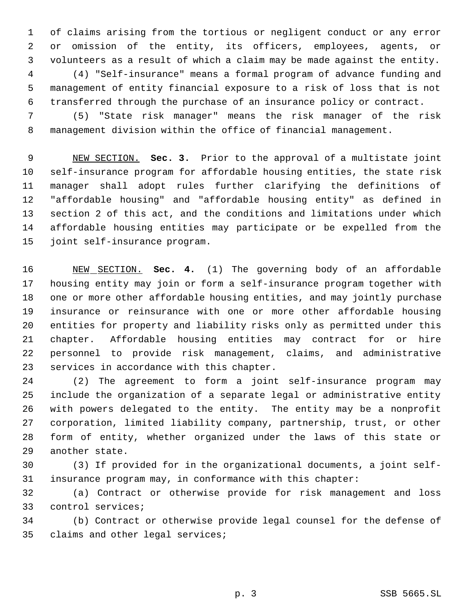of claims arising from the tortious or negligent conduct or any error or omission of the entity, its officers, employees, agents, or volunteers as a result of which a claim may be made against the entity. (4) "Self-insurance" means a formal program of advance funding and management of entity financial exposure to a risk of loss that is not transferred through the purchase of an insurance policy or contract.

 (5) "State risk manager" means the risk manager of the risk management division within the office of financial management.

 NEW SECTION. **Sec. 3.** Prior to the approval of a multistate joint self-insurance program for affordable housing entities, the state risk manager shall adopt rules further clarifying the definitions of "affordable housing" and "affordable housing entity" as defined in section 2 of this act, and the conditions and limitations under which affordable housing entities may participate or be expelled from the joint self-insurance program.

 NEW SECTION. **Sec. 4.** (1) The governing body of an affordable housing entity may join or form a self-insurance program together with one or more other affordable housing entities, and may jointly purchase insurance or reinsurance with one or more other affordable housing entities for property and liability risks only as permitted under this chapter. Affordable housing entities may contract for or hire personnel to provide risk management, claims, and administrative services in accordance with this chapter.

 (2) The agreement to form a joint self-insurance program may include the organization of a separate legal or administrative entity with powers delegated to the entity. The entity may be a nonprofit corporation, limited liability company, partnership, trust, or other form of entity, whether organized under the laws of this state or another state.

 (3) If provided for in the organizational documents, a joint self-insurance program may, in conformance with this chapter:

 (a) Contract or otherwise provide for risk management and loss control services;

 (b) Contract or otherwise provide legal counsel for the defense of claims and other legal services;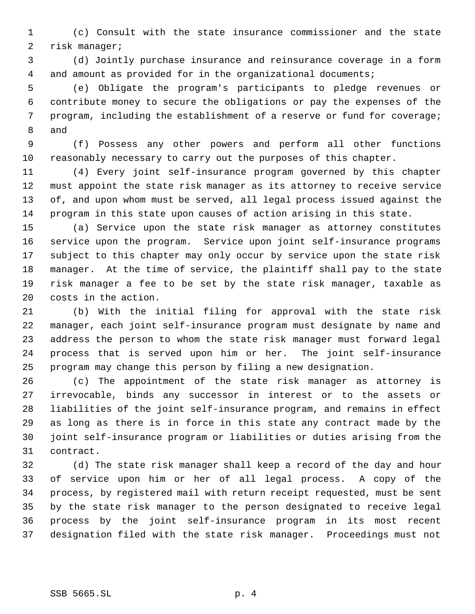(c) Consult with the state insurance commissioner and the state risk manager;

 (d) Jointly purchase insurance and reinsurance coverage in a form and amount as provided for in the organizational documents;

 (e) Obligate the program's participants to pledge revenues or contribute money to secure the obligations or pay the expenses of the program, including the establishment of a reserve or fund for coverage; and

 (f) Possess any other powers and perform all other functions reasonably necessary to carry out the purposes of this chapter.

 (4) Every joint self-insurance program governed by this chapter must appoint the state risk manager as its attorney to receive service of, and upon whom must be served, all legal process issued against the program in this state upon causes of action arising in this state.

 (a) Service upon the state risk manager as attorney constitutes service upon the program. Service upon joint self-insurance programs subject to this chapter may only occur by service upon the state risk manager. At the time of service, the plaintiff shall pay to the state risk manager a fee to be set by the state risk manager, taxable as costs in the action.

 (b) With the initial filing for approval with the state risk manager, each joint self-insurance program must designate by name and address the person to whom the state risk manager must forward legal process that is served upon him or her. The joint self-insurance program may change this person by filing a new designation.

 (c) The appointment of the state risk manager as attorney is irrevocable, binds any successor in interest or to the assets or liabilities of the joint self-insurance program, and remains in effect as long as there is in force in this state any contract made by the joint self-insurance program or liabilities or duties arising from the contract.

 (d) The state risk manager shall keep a record of the day and hour of service upon him or her of all legal process. A copy of the process, by registered mail with return receipt requested, must be sent by the state risk manager to the person designated to receive legal process by the joint self-insurance program in its most recent designation filed with the state risk manager. Proceedings must not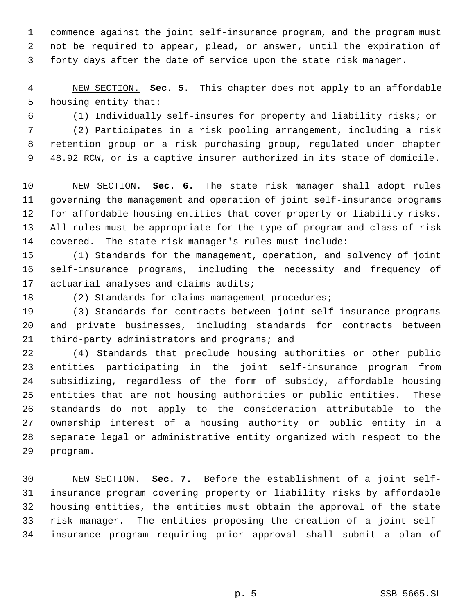commence against the joint self-insurance program, and the program must not be required to appear, plead, or answer, until the expiration of forty days after the date of service upon the state risk manager.

 NEW SECTION. **Sec. 5.** This chapter does not apply to an affordable housing entity that:

(1) Individually self-insures for property and liability risks; or

 (2) Participates in a risk pooling arrangement, including a risk retention group or a risk purchasing group, regulated under chapter 48.92 RCW, or is a captive insurer authorized in its state of domicile.

 NEW SECTION. **Sec. 6.** The state risk manager shall adopt rules governing the management and operation of joint self-insurance programs for affordable housing entities that cover property or liability risks. All rules must be appropriate for the type of program and class of risk covered. The state risk manager's rules must include:

 (1) Standards for the management, operation, and solvency of joint self-insurance programs, including the necessity and frequency of actuarial analyses and claims audits;

18 (2) Standards for claims management procedures;

 (3) Standards for contracts between joint self-insurance programs and private businesses, including standards for contracts between third-party administrators and programs; and

 (4) Standards that preclude housing authorities or other public entities participating in the joint self-insurance program from subsidizing, regardless of the form of subsidy, affordable housing entities that are not housing authorities or public entities. These standards do not apply to the consideration attributable to the ownership interest of a housing authority or public entity in a separate legal or administrative entity organized with respect to the program.

 NEW SECTION. **Sec. 7.** Before the establishment of a joint self- insurance program covering property or liability risks by affordable housing entities, the entities must obtain the approval of the state risk manager. The entities proposing the creation of a joint self-insurance program requiring prior approval shall submit a plan of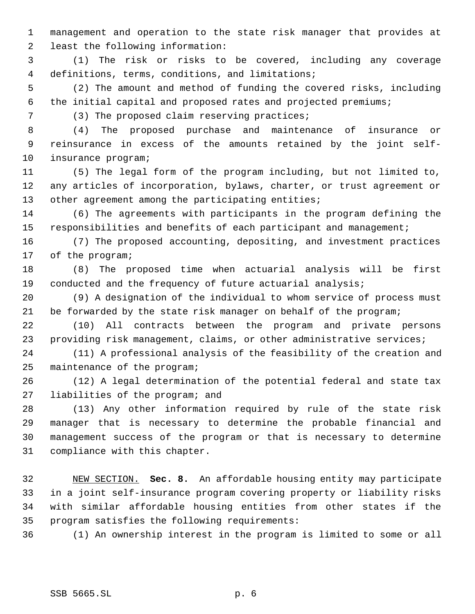management and operation to the state risk manager that provides at least the following information:

 (1) The risk or risks to be covered, including any coverage definitions, terms, conditions, and limitations;

 (2) The amount and method of funding the covered risks, including the initial capital and proposed rates and projected premiums;

7 (3) The proposed claim reserving practices;

 (4) The proposed purchase and maintenance of insurance or reinsurance in excess of the amounts retained by the joint self-insurance program;

 (5) The legal form of the program including, but not limited to, any articles of incorporation, bylaws, charter, or trust agreement or 13 other agreement among the participating entities;

 (6) The agreements with participants in the program defining the 15 responsibilities and benefits of each participant and management;

 (7) The proposed accounting, depositing, and investment practices of the program;

 (8) The proposed time when actuarial analysis will be first 19 conducted and the frequency of future actuarial analysis;

 (9) A designation of the individual to whom service of process must 21 be forwarded by the state risk manager on behalf of the program;

 (10) All contracts between the program and private persons providing risk management, claims, or other administrative services;

 (11) A professional analysis of the feasibility of the creation and maintenance of the program;

 (12) A legal determination of the potential federal and state tax liabilities of the program; and

 (13) Any other information required by rule of the state risk manager that is necessary to determine the probable financial and management success of the program or that is necessary to determine compliance with this chapter.

 NEW SECTION. **Sec. 8.** An affordable housing entity may participate in a joint self-insurance program covering property or liability risks with similar affordable housing entities from other states if the program satisfies the following requirements:

(1) An ownership interest in the program is limited to some or all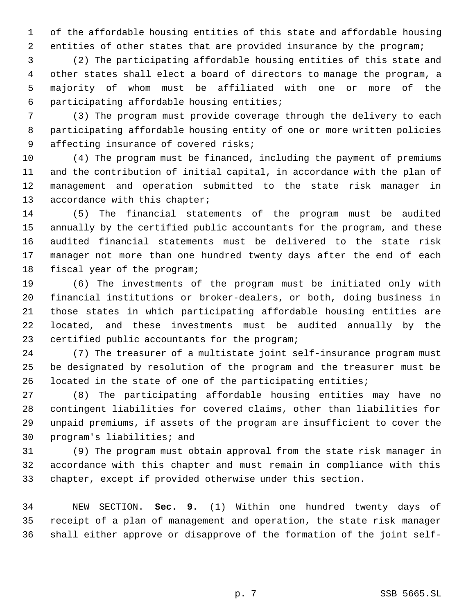of the affordable housing entities of this state and affordable housing entities of other states that are provided insurance by the program;

 (2) The participating affordable housing entities of this state and other states shall elect a board of directors to manage the program, a majority of whom must be affiliated with one or more of the participating affordable housing entities;

 (3) The program must provide coverage through the delivery to each participating affordable housing entity of one or more written policies affecting insurance of covered risks;

 (4) The program must be financed, including the payment of premiums and the contribution of initial capital, in accordance with the plan of management and operation submitted to the state risk manager in 13 accordance with this chapter;

 (5) The financial statements of the program must be audited annually by the certified public accountants for the program, and these audited financial statements must be delivered to the state risk manager not more than one hundred twenty days after the end of each fiscal year of the program;

 (6) The investments of the program must be initiated only with financial institutions or broker-dealers, or both, doing business in those states in which participating affordable housing entities are located, and these investments must be audited annually by the certified public accountants for the program;

 (7) The treasurer of a multistate joint self-insurance program must be designated by resolution of the program and the treasurer must be located in the state of one of the participating entities;

 (8) The participating affordable housing entities may have no contingent liabilities for covered claims, other than liabilities for unpaid premiums, if assets of the program are insufficient to cover the program's liabilities; and

 (9) The program must obtain approval from the state risk manager in accordance with this chapter and must remain in compliance with this chapter, except if provided otherwise under this section.

 NEW SECTION. **Sec. 9.** (1) Within one hundred twenty days of receipt of a plan of management and operation, the state risk manager shall either approve or disapprove of the formation of the joint self-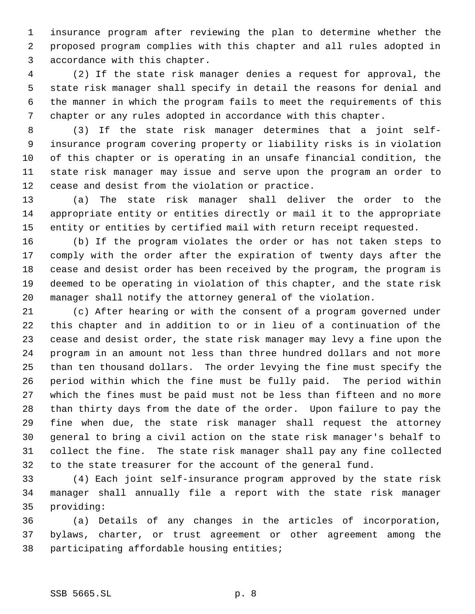insurance program after reviewing the plan to determine whether the proposed program complies with this chapter and all rules adopted in accordance with this chapter.

 (2) If the state risk manager denies a request for approval, the state risk manager shall specify in detail the reasons for denial and the manner in which the program fails to meet the requirements of this chapter or any rules adopted in accordance with this chapter.

 (3) If the state risk manager determines that a joint self- insurance program covering property or liability risks is in violation of this chapter or is operating in an unsafe financial condition, the state risk manager may issue and serve upon the program an order to cease and desist from the violation or practice.

 (a) The state risk manager shall deliver the order to the appropriate entity or entities directly or mail it to the appropriate entity or entities by certified mail with return receipt requested.

 (b) If the program violates the order or has not taken steps to comply with the order after the expiration of twenty days after the cease and desist order has been received by the program, the program is deemed to be operating in violation of this chapter, and the state risk manager shall notify the attorney general of the violation.

 (c) After hearing or with the consent of a program governed under this chapter and in addition to or in lieu of a continuation of the cease and desist order, the state risk manager may levy a fine upon the program in an amount not less than three hundred dollars and not more than ten thousand dollars. The order levying the fine must specify the period within which the fine must be fully paid. The period within which the fines must be paid must not be less than fifteen and no more than thirty days from the date of the order. Upon failure to pay the fine when due, the state risk manager shall request the attorney general to bring a civil action on the state risk manager's behalf to collect the fine. The state risk manager shall pay any fine collected to the state treasurer for the account of the general fund.

 (4) Each joint self-insurance program approved by the state risk manager shall annually file a report with the state risk manager providing:

 (a) Details of any changes in the articles of incorporation, bylaws, charter, or trust agreement or other agreement among the participating affordable housing entities;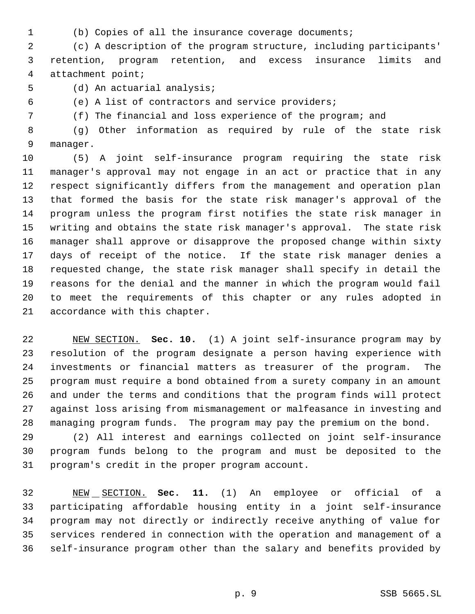- 
- (b) Copies of all the insurance coverage documents;

 (c) A description of the program structure, including participants' retention, program retention, and excess insurance limits and attachment point;

(d) An actuarial analysis;

(e) A list of contractors and service providers;

(f) The financial and loss experience of the program; and

 (g) Other information as required by rule of the state risk manager.

 (5) A joint self-insurance program requiring the state risk manager's approval may not engage in an act or practice that in any respect significantly differs from the management and operation plan that formed the basis for the state risk manager's approval of the program unless the program first notifies the state risk manager in writing and obtains the state risk manager's approval. The state risk manager shall approve or disapprove the proposed change within sixty days of receipt of the notice. If the state risk manager denies a requested change, the state risk manager shall specify in detail the reasons for the denial and the manner in which the program would fail to meet the requirements of this chapter or any rules adopted in accordance with this chapter.

 NEW SECTION. **Sec. 10.** (1) A joint self-insurance program may by resolution of the program designate a person having experience with investments or financial matters as treasurer of the program. The program must require a bond obtained from a surety company in an amount and under the terms and conditions that the program finds will protect against loss arising from mismanagement or malfeasance in investing and managing program funds. The program may pay the premium on the bond.

 (2) All interest and earnings collected on joint self-insurance program funds belong to the program and must be deposited to the program's credit in the proper program account.

 NEW SECTION. **Sec. 11.** (1) An employee or official of a participating affordable housing entity in a joint self-insurance program may not directly or indirectly receive anything of value for services rendered in connection with the operation and management of a self-insurance program other than the salary and benefits provided by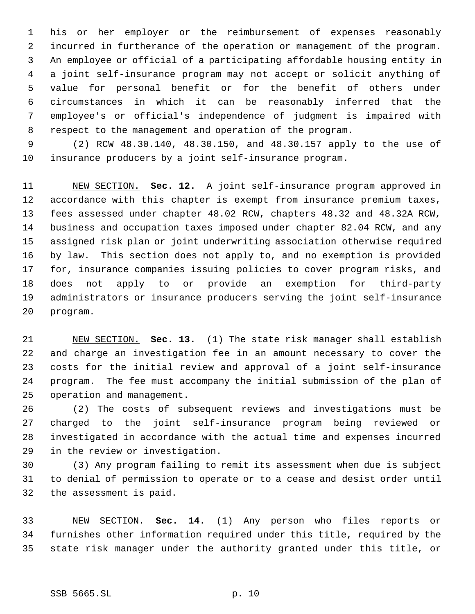his or her employer or the reimbursement of expenses reasonably incurred in furtherance of the operation or management of the program. An employee or official of a participating affordable housing entity in a joint self-insurance program may not accept or solicit anything of value for personal benefit or for the benefit of others under circumstances in which it can be reasonably inferred that the employee's or official's independence of judgment is impaired with respect to the management and operation of the program.

 (2) RCW 48.30.140, 48.30.150, and 48.30.157 apply to the use of insurance producers by a joint self-insurance program.

 NEW SECTION. **Sec. 12.** A joint self-insurance program approved in accordance with this chapter is exempt from insurance premium taxes, fees assessed under chapter 48.02 RCW, chapters 48.32 and 48.32A RCW, business and occupation taxes imposed under chapter 82.04 RCW, and any assigned risk plan or joint underwriting association otherwise required by law. This section does not apply to, and no exemption is provided for, insurance companies issuing policies to cover program risks, and does not apply to or provide an exemption for third-party administrators or insurance producers serving the joint self-insurance program.

 NEW SECTION. **Sec. 13.** (1) The state risk manager shall establish and charge an investigation fee in an amount necessary to cover the costs for the initial review and approval of a joint self-insurance program. The fee must accompany the initial submission of the plan of operation and management.

 (2) The costs of subsequent reviews and investigations must be charged to the joint self-insurance program being reviewed or investigated in accordance with the actual time and expenses incurred in the review or investigation.

 (3) Any program failing to remit its assessment when due is subject to denial of permission to operate or to a cease and desist order until the assessment is paid.

 NEW SECTION. **Sec. 14.** (1) Any person who files reports or furnishes other information required under this title, required by the state risk manager under the authority granted under this title, or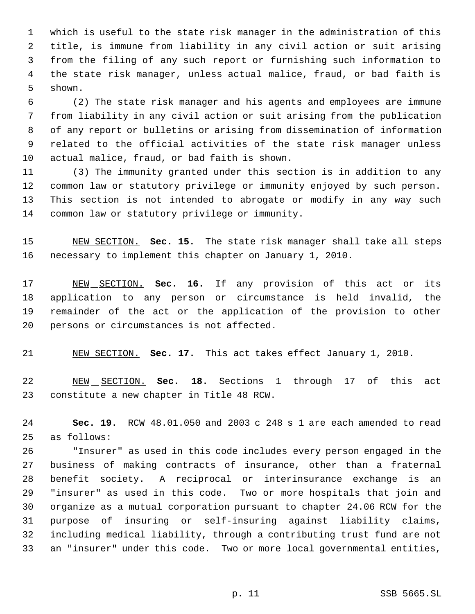which is useful to the state risk manager in the administration of this title, is immune from liability in any civil action or suit arising from the filing of any such report or furnishing such information to the state risk manager, unless actual malice, fraud, or bad faith is shown.

 (2) The state risk manager and his agents and employees are immune from liability in any civil action or suit arising from the publication of any report or bulletins or arising from dissemination of information related to the official activities of the state risk manager unless actual malice, fraud, or bad faith is shown.

 (3) The immunity granted under this section is in addition to any common law or statutory privilege or immunity enjoyed by such person. This section is not intended to abrogate or modify in any way such common law or statutory privilege or immunity.

 NEW SECTION. **Sec. 15.** The state risk manager shall take all steps necessary to implement this chapter on January 1, 2010.

 NEW SECTION. **Sec. 16.** If any provision of this act or its application to any person or circumstance is held invalid, the remainder of the act or the application of the provision to other persons or circumstances is not affected.

NEW SECTION. **Sec. 17.** This act takes effect January 1, 2010.

 NEW SECTION. **Sec. 18.** Sections 1 through 17 of this act constitute a new chapter in Title 48 RCW.

 **Sec. 19.** RCW 48.01.050 and 2003 c 248 s 1 are each amended to read as follows:

 "Insurer" as used in this code includes every person engaged in the business of making contracts of insurance, other than a fraternal benefit society. A reciprocal or interinsurance exchange is an "insurer" as used in this code. Two or more hospitals that join and organize as a mutual corporation pursuant to chapter 24.06 RCW for the purpose of insuring or self-insuring against liability claims, including medical liability, through a contributing trust fund are not an "insurer" under this code. Two or more local governmental entities,